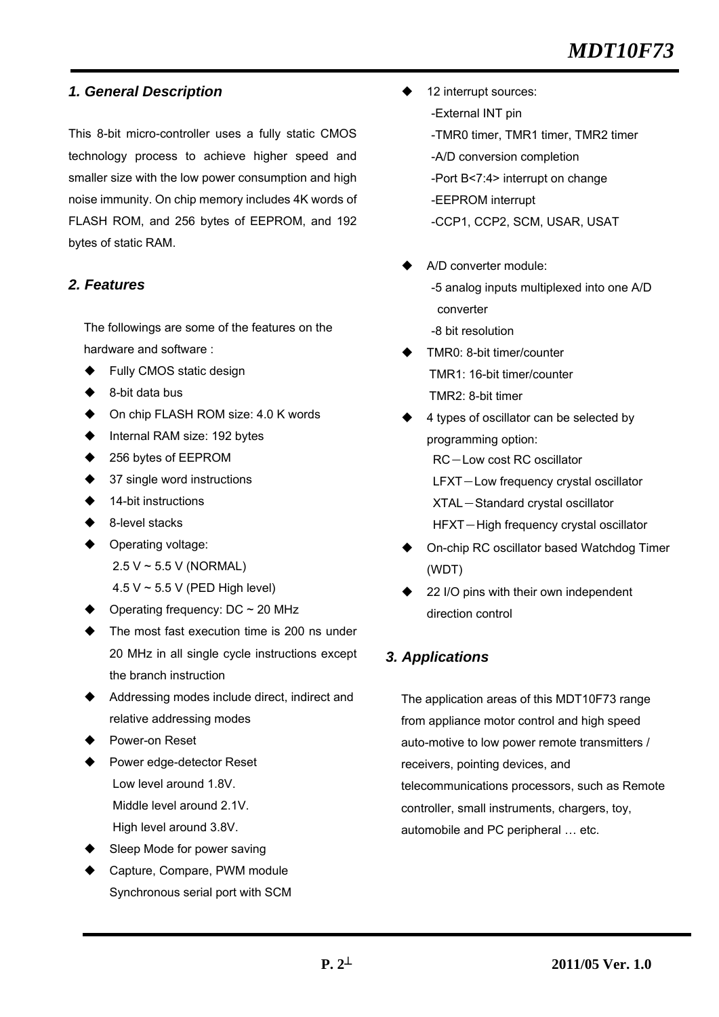## *1. General Description*

This 8-bit micro-controller uses a fully static CMOS technology process to achieve higher speed and smaller size with the low power consumption and high noise immunity. On chip memory includes 4K words of FLASH ROM, and 256 bytes of EEPROM, and 192 bytes of static RAM.

## *2. Features*

The followings are some of the features on the hardware and software :

- Fully CMOS static design
- 8-bit data bus
- ◆ On chip FLASH ROM size: 4.0 K words
- Internal RAM size: 192 bytes
- 256 bytes of EEPROM
- $\triangleleft$  37 single word instructions
- 14-bit instructions
- 8-level stacks
- **Derating voltage:** 
	- 2.5 V ~ 5.5 V (NORMAL)
	- 4.5 V ~ 5.5 V (PED High level)
- Operating frequency: DC ~ 20 MHz
- ◆ The most fast execution time is 200 ns under 20 MHz in all single cycle instructions except the branch instruction
- Addressing modes include direct, indirect and relative addressing modes
- Power-on Reset
- Power edge-detector Reset Low level around 1.8V. Middle level around 2.1V. High level around 3.8V.
- Sleep Mode for power saving
- Capture, Compare, PWM module Synchronous serial port with SCM
- 12 interrupt sources:
	- -External INT pin
	- -TMR0 timer, TMR1 timer, TMR2 timer
	- -A/D conversion completion
	- -Port B<7:4> interrupt on change
	- -EEPROM interrupt
	- -CCP1, CCP2, SCM, USAR, USAT
- A/D converter module: -5 analog inputs multiplexed into one A/D converter
	- -8 bit resolution
- TMR0: 8-bit timer/counter TMR1: 16-bit timer/counter TMR2: 8-bit timer
- 4 types of oscillator can be selected by programming option: RC-Low cost RC oscillator LFXT-Low frequency crystal oscillator XTAL-Standard crystal oscillator
	- HFXT-High frequency crystal oscillator
- On-chip RC oscillator based Watchdog Timer (WDT)
- 22 I/O pins with their own independent direction control

## *3. Applications*

The application areas of this MDT10F73 range from appliance motor control and high speed auto-motive to low power remote transmitters / receivers, pointing devices, and telecommunications processors, such as Remote controller, small instruments, chargers, toy, automobile and PC peripheral … etc.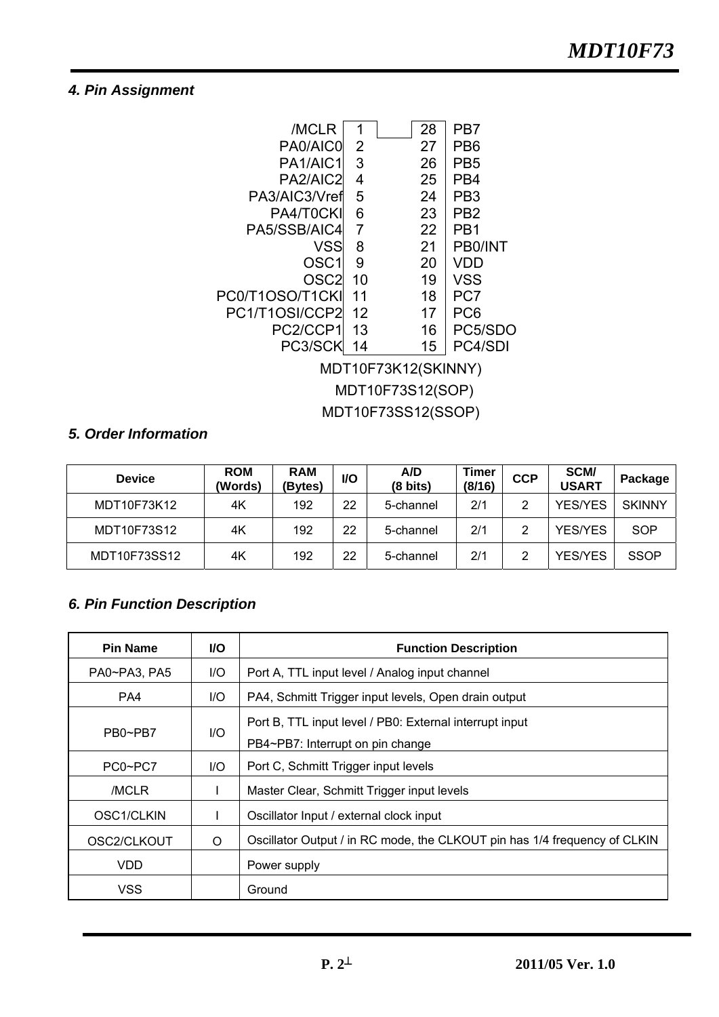## *4. Pin Assignment*



## *5. Order Information*

| <b>Device</b> | <b>ROM</b><br>(Words) | <b>RAM</b><br>(Bytes) | I/O | A/D<br>(8 bits) | Timer<br>(8/16) | <b>CCP</b> | SCM/<br><b>USART</b> | Package       |
|---------------|-----------------------|-----------------------|-----|-----------------|-----------------|------------|----------------------|---------------|
| MDT10F73K12   | 4Κ                    | 192                   | 22  | 5-channel       | 2/1             | 2          | <b>YES/YES</b>       | <b>SKINNY</b> |
| MDT10F73S12   | 4K                    | 192                   | 22  | 5-channel       | 2/1             | 2          | <b>YES/YES</b>       | <b>SOP</b>    |
| MDT10F73SS12  | 4Κ                    | 192                   | 22  | 5-channel       | 2/1             | 2          | <b>YES/YES</b>       | <b>SSOP</b>   |

## *6. Pin Function Description*

| <b>Pin Name</b> | <b>VO</b> | <b>Function Description</b>                                                                 |
|-----------------|-----------|---------------------------------------------------------------------------------------------|
| PA0~PA3, PA5    | I/O       | Port A, TTL input level / Analog input channel                                              |
| PA4             | I/O       | PA4, Schmitt Trigger input levels, Open drain output                                        |
| PB0~PB7         | $II$      | Port B, TTL input level / PB0: External interrupt input<br>PB4~PB7: Interrupt on pin change |
| PC0~PC7         | I/O       | Port C, Schmitt Trigger input levels                                                        |
| /MCLR           | L         | Master Clear, Schmitt Trigger input levels                                                  |
| OSC1/CLKIN      |           | Oscillator Input / external clock input                                                     |
| OSC2/CLKOUT     | O         | Oscillator Output / in RC mode, the CLKOUT pin has 1/4 frequency of CLKIN                   |
| <b>VDD</b>      |           | Power supply                                                                                |
| <b>VSS</b>      |           | Ground                                                                                      |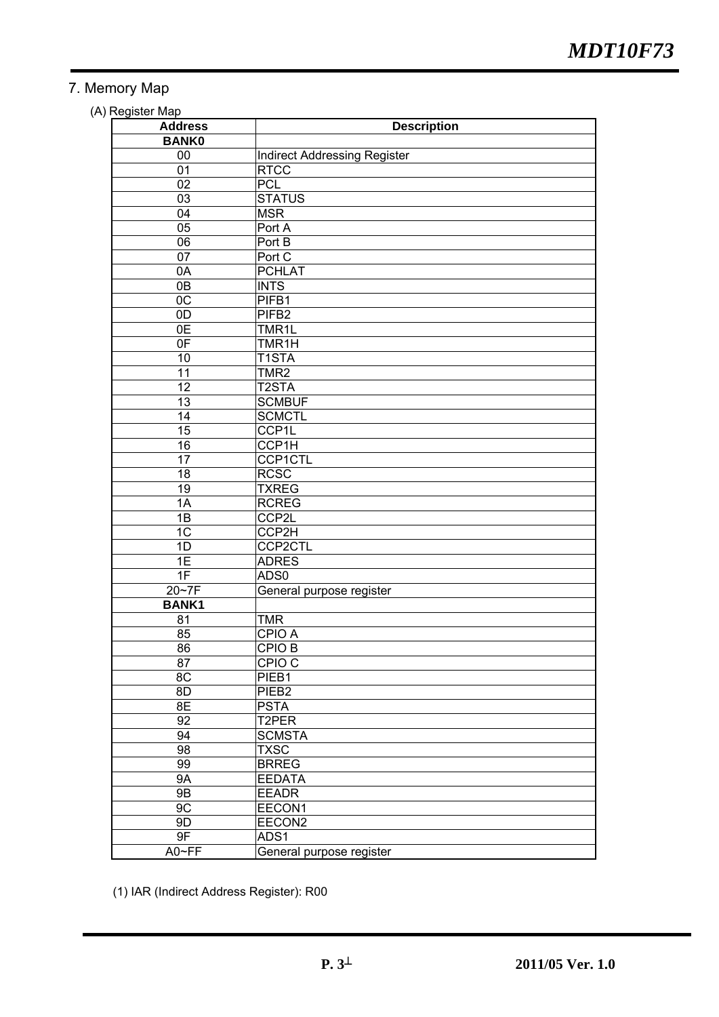## 7. Memory Map

(A) Register Map

| wyww.map<br><b>Address</b> | <b>Description</b>                  |
|----------------------------|-------------------------------------|
| <b>BANK0</b>               |                                     |
| 00                         | <b>Indirect Addressing Register</b> |
| 01                         | <b>RTCC</b>                         |
| 02                         | <b>PCL</b>                          |
| 03                         | <b>STATUS</b>                       |
| 04                         | <b>MSR</b>                          |
| $\overline{05}$            | Port A                              |
| $\overline{06}$            | Port B                              |
| 07                         | Port C                              |
| 0A                         | <b>PCHLAT</b>                       |
| $\overline{OB}$            | <b>INTS</b>                         |
| $\overline{OC}$            | PIFB1                               |
| $\overline{OD}$            | PIFB <sub>2</sub>                   |
| 0E                         | TMR1L                               |
| 0 <sub>F</sub>             | TMR1H                               |
| 10                         | T1STA                               |
| $\overline{11}$            | TMR <sub>2</sub>                    |
| $\overline{12}$            | T <sub>2</sub> STA                  |
| 13                         | <b>SCMBUF</b>                       |
| 14                         | <b>SCMCTL</b>                       |
| 15                         | CCP1L                               |
| 16                         | CCP1H                               |
| 17                         | <b>CCP1CTL</b>                      |
| 18                         | <b>RCSC</b>                         |
| 19                         | <b>TXREG</b>                        |
| 1A                         | <b>RCREG</b>                        |
| 1B                         | CCP2L                               |
| $\overline{1C}$            | CCP2H                               |
| 1D                         | <b>CCP2CTL</b>                      |
| 1E                         | <b>ADRES</b>                        |
| 1F                         | ADS0                                |
| 20~7F                      | General purpose register            |
| <b>BANK1</b>               |                                     |
| 81                         | <b>TMR</b>                          |
| 85                         | CPIO A                              |
| 86                         | <b>CPIO B</b>                       |
| 87                         | CPIO <sub>C</sub>                   |
| $\overline{8C}$            | PIEB1                               |
| 8D                         | PIEB <sub>2</sub>                   |
| 8E                         | <b>PSTA</b>                         |
| 92                         | T2PER                               |
| 94                         | <b>SCMSTA</b>                       |
| 98                         | <b>TXSC</b>                         |
| 99                         | <b>BRREG</b>                        |
| <b>9A</b>                  | <b>EEDATA</b>                       |
| <b>9B</b>                  | <b>EEADR</b>                        |
| 9C                         | EECON1                              |
| 9D                         | EECON <sub>2</sub>                  |
| 9F                         | ADS1                                |
| A0~FF                      | General purpose register            |
|                            |                                     |

(1) IAR (Indirect Address Register): R00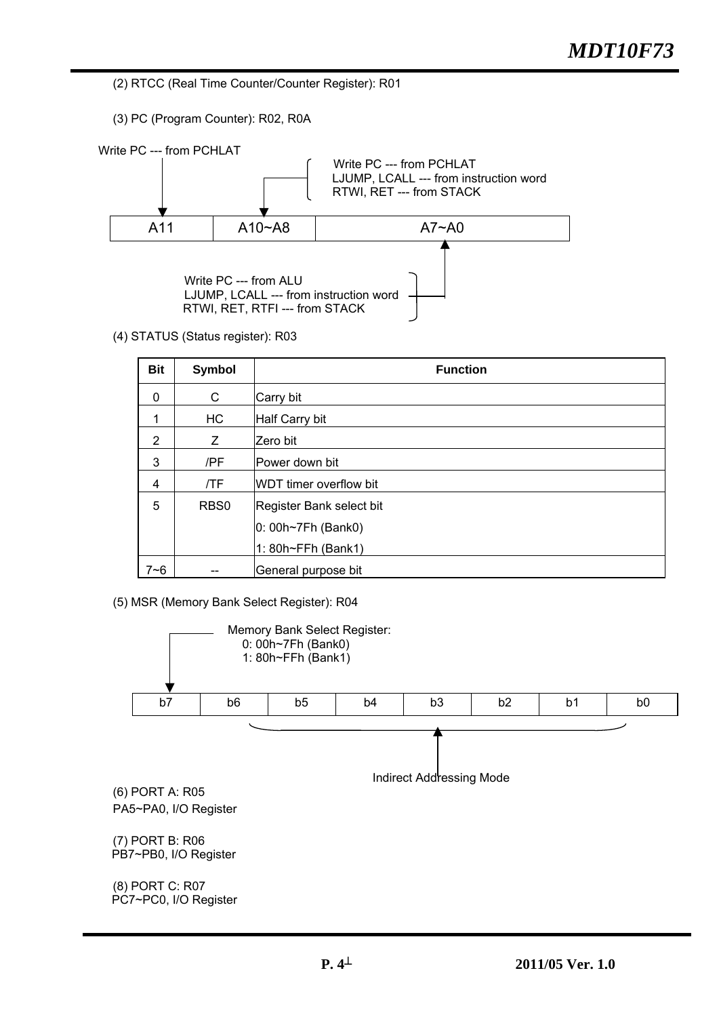(2) RTCC (Real Time Counter/Counter Register): R01

(3) PC (Program Counter): R02, R0A



(4) STATUS (Status register): R03

| <b>Bit</b>     | <b>Symbol</b>    | <b>Function</b>           |
|----------------|------------------|---------------------------|
| $\Omega$       | C                | Carry bit                 |
| 1              | HC               | Half Carry bit            |
| $\overline{2}$ | Ζ                | Zero bit                  |
| 3              | /PF              | Power down bit            |
| 4              | /TF              | WDT timer overflow bit    |
| 5              | RB <sub>S0</sub> | Register Bank select bit  |
|                |                  | $ 0:00h \sim 7Fh$ (Bank0) |
|                |                  | 1: 80h~FFh (Bank1)        |
| $7 - 6$        |                  | General purpose bit       |

(5) MSR (Memory Bank Select Register): R04

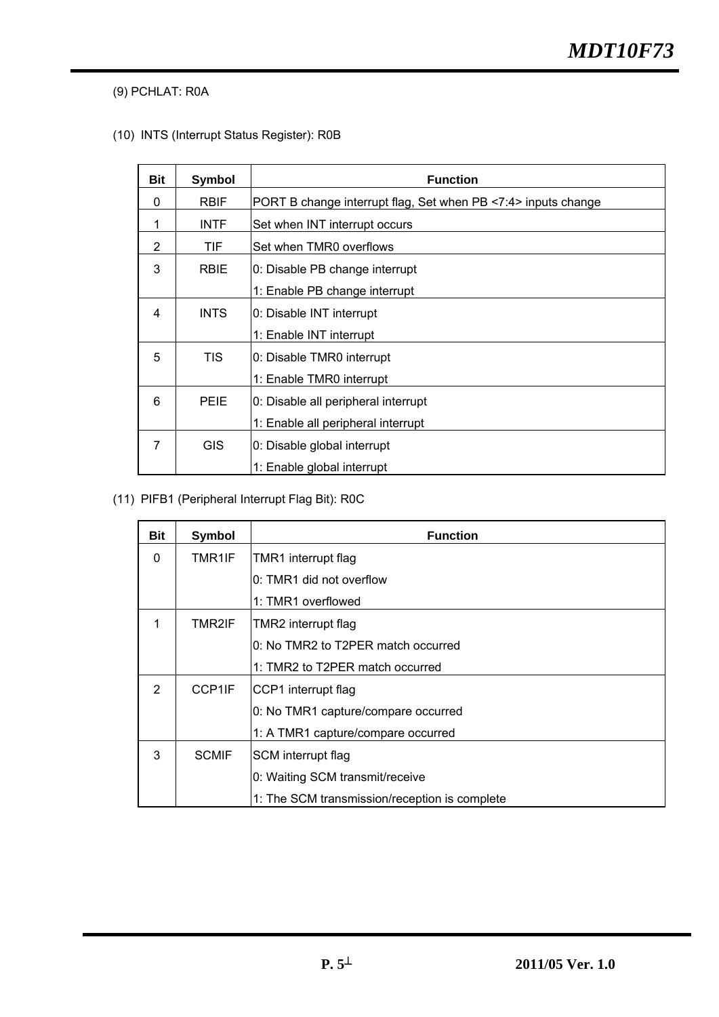(9) PCHLAT: R0A

(10) INTS (Interrupt Status Register): R0B

| <b>Bit</b> | <b>Symbol</b> | <b>Function</b>                                               |
|------------|---------------|---------------------------------------------------------------|
| 0          | <b>RBIF</b>   | PORT B change interrupt flag, Set when PB <7:4> inputs change |
| 1          | <b>INTF</b>   | Set when INT interrupt occurs                                 |
| 2          | TIF           | Set when TMR0 overflows                                       |
| 3          | <b>RBIE</b>   | 0: Disable PB change interrupt                                |
|            |               | 1: Enable PB change interrupt                                 |
| 4          | <b>INTS</b>   | 0: Disable INT interrupt                                      |
|            |               | 1: Enable INT interrupt                                       |
| 5          | <b>TIS</b>    | 0: Disable TMR0 interrupt                                     |
|            |               | 1: Enable TMR0 interrupt                                      |
| 6          | <b>PEIE</b>   | 0: Disable all peripheral interrupt                           |
|            |               | 1: Enable all peripheral interrupt                            |
| 7          | <b>GIS</b>    | 0: Disable global interrupt                                   |
|            |               | 1: Enable global interrupt                                    |

(11) PIFB1 (Peripheral Interrupt Flag Bit): R0C

| Bit           | <b>Symbol</b> | <b>Function</b>                               |
|---------------|---------------|-----------------------------------------------|
| $\Omega$      | TMR1IF        | TMR1 interrupt flag                           |
|               |               | 0: TMR1 did not overflow                      |
|               |               | 1: TMR1 overflowed                            |
|               | TMR2IF        | TMR2 interrupt flag                           |
|               |               | 0: No TMR2 to T2PER match occurred            |
|               |               | 1: TMR2 to T2PER match occurred               |
| $\mathcal{P}$ | CCP1IF        | CCP1 interrupt flag                           |
|               |               | 0: No TMR1 capture/compare occurred           |
|               |               | 1: A TMR1 capture/compare occurred            |
| 3             | <b>SCMIF</b>  | SCM interrupt flag                            |
|               |               | 0: Waiting SCM transmit/receive               |
|               |               | 1: The SCM transmission/reception is complete |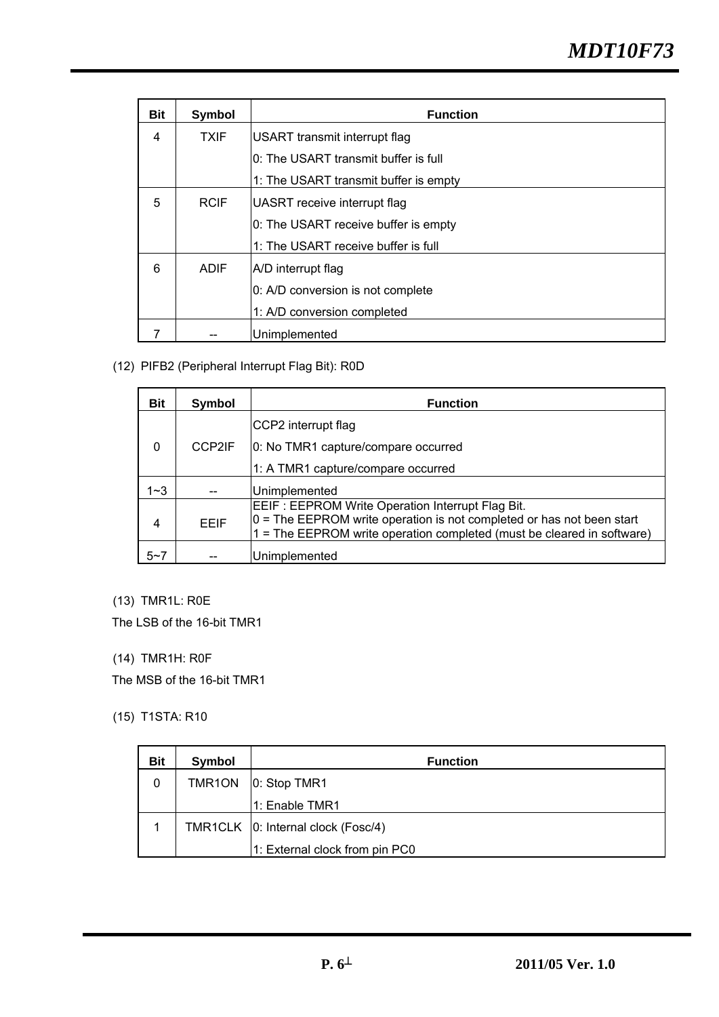| <b>Bit</b> | Symbol      | <b>Function</b>                       |
|------------|-------------|---------------------------------------|
| 4          | <b>TXIF</b> | USART transmit interrupt flag         |
|            |             | 0: The USART transmit buffer is full  |
|            |             | 1: The USART transmit buffer is empty |
| 5          | <b>RCIF</b> | UASRT receive interrupt flag          |
|            |             | 0: The USART receive buffer is empty  |
|            |             | 1: The USART receive buffer is full   |
| 6          | <b>ADIF</b> | A/D interrupt flag                    |
|            |             | 0: A/D conversion is not complete     |
|            |             | 1: A/D conversion completed           |
|            |             | Unimplemented                         |

(12) PIFB2 (Peripheral Interrupt Flag Bit): R0D

| Bit      | Symbol      | <b>Function</b>                                                                                                                                                                                           |
|----------|-------------|-----------------------------------------------------------------------------------------------------------------------------------------------------------------------------------------------------------|
|          |             | CCP2 interrupt flag                                                                                                                                                                                       |
| $\Omega$ | CCP2IF      | 0: No TMR1 capture/compare occurred                                                                                                                                                                       |
|          |             | 1: A TMR1 capture/compare occurred                                                                                                                                                                        |
| $1 - 3$  |             | Unimplemented                                                                                                                                                                                             |
| 4        | <b>FFIF</b> | EEIF: EEPROM Write Operation Interrupt Flag Bit.<br>$ 0 $ = The EEPROM write operation is not completed or has not been start<br>$1 =$ The EEPROM write operation completed (must be cleared in software) |
| $5 - 7$  |             | Unimplemented                                                                                                                                                                                             |

## (13) TMR1L: R0E

The LSB of the 16-bit TMR1

## (14) TMR1H: R0F

The MSB of the 16-bit TMR1

#### (15) T1STA: R10

| <b>Bit</b> | Symbol | <b>Function</b>                      |
|------------|--------|--------------------------------------|
| 0          | TMR1ON | 0: Stop TMR1                         |
|            |        | 1: Enable TMR1                       |
|            |        | TMR1CLK   0: Internal clock (Fosc/4) |
|            |        | 1: External clock from pin PC0       |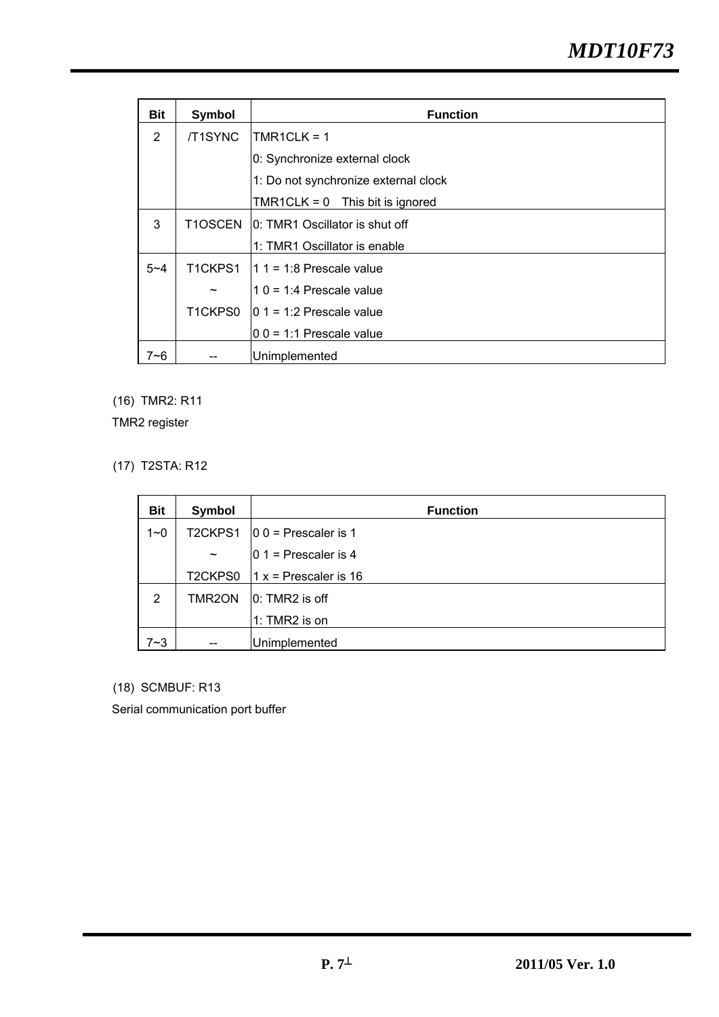| Bit     | Symbol                | <b>Function</b>                      |  |
|---------|-----------------------|--------------------------------------|--|
| 2       | /T1SYNC               | TMR1CLK = $1$                        |  |
|         |                       | 0: Synchronize external clock        |  |
|         |                       | 1: Do not synchronize external clock |  |
|         |                       | TMR1CLK = $0$ This bit is ignored    |  |
| 3       | T1OSCEN               | 10: TMR1 Oscillator is shut off      |  |
|         |                       | 1: TMR1 Oscillator is enable         |  |
| $5 - 4$ | T1CKPS1               | $11 1 = 1:8$ Prescale value          |  |
|         | $\tilde{\phantom{a}}$ | $10 = 1:4$ Prescale value            |  |
|         | T1CKPS0               | $10 \t1 = 1:2$ Prescale value        |  |
|         |                       | $ 0 0 = 1:1$ Prescale value          |  |
| 7~6     |                       | Unimplemented                        |  |

(16) TMR2: R11

TMR2 register

(17) T2STA: R12

| <b>Bit</b>     | Symbol     | <b>Function</b>          |
|----------------|------------|--------------------------|
| $1 - 0$        | T2CKPS1    | $ 0 0 $ = Prescaler is 1 |
|                | $\tilde{}$ | $ 0 1 $ = Prescaler is 4 |
|                | T2CKPS0    | $1 x =$ Prescaler is 16  |
| $\overline{2}$ | TMR2ON     | $ 0:$ TMR2 is off        |
|                |            | $1: TMR2$ is on          |
| 7~3            | --         | Unimplemented            |

(18) SCMBUF: R13

Serial communication port buffer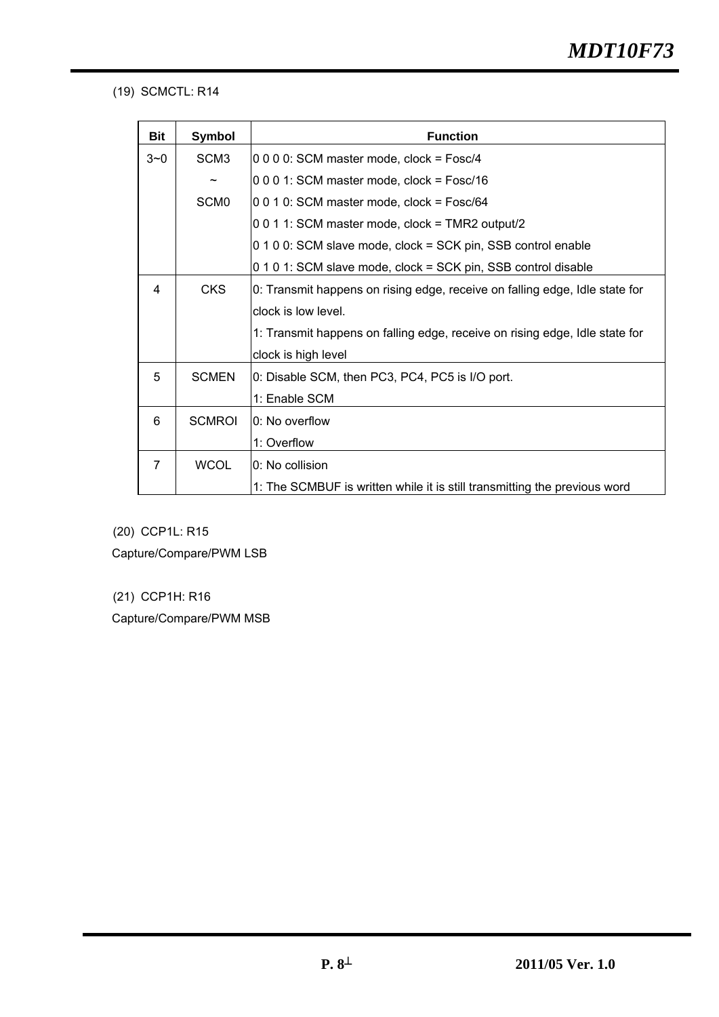### (19) SCMCTL: R14

| <b>Bit</b> | Symbol                | <b>Function</b>                                                             |
|------------|-----------------------|-----------------------------------------------------------------------------|
| $3 - 0$    | SCM <sub>3</sub>      | 0 0 0 0: SCM master mode, clock = Fosc/4                                    |
|            | $\tilde{\phantom{a}}$ | 0 0 0 1: SCM master mode, clock = Fosc/16                                   |
|            | SCM <sub>0</sub>      | 0 0 1 0: SCM master mode, clock = Fosc/64                                   |
|            |                       | 0 0 1 1: SCM master mode, clock = TMR2 output/2                             |
|            |                       | 0 1 0 0: SCM slave mode, clock = SCK pin, SSB control enable                |
|            |                       | 0 1 0 1: SCM slave mode, clock = SCK pin, SSB control disable               |
| 4          | <b>CKS</b>            | 0: Transmit happens on rising edge, receive on falling edge, Idle state for |
|            |                       | clock is low level.                                                         |
|            |                       | 1: Transmit happens on falling edge, receive on rising edge, Idle state for |
|            |                       | clock is high level                                                         |
| 5          | <b>SCMEN</b>          | 0: Disable SCM, then PC3, PC4, PC5 is I/O port.                             |
|            |                       | 1: Enable SCM                                                               |
| 6          | <b>SCMROI</b>         | 0: No overflow                                                              |
|            |                       | 1: Overflow                                                                 |
| 7          | <b>WCOL</b>           | 0: No collision                                                             |
|            |                       | 1: The SCMBUF is written while it is still transmitting the previous word   |

(20) CCP1L: R15 Capture/Compare/PWM LSB

(21) CCP1H: R16 Capture/Compare/PWM MSB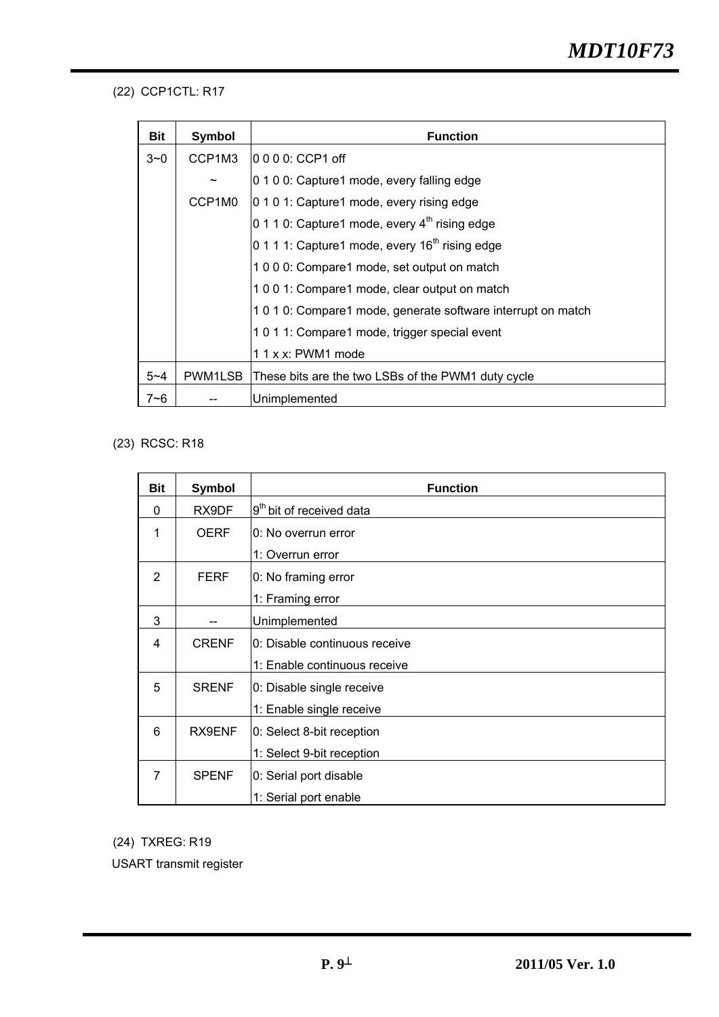## (22) CCP1CTL: R17

| Bit     | Symbol                | <b>Function</b>                                              |
|---------|-----------------------|--------------------------------------------------------------|
| $3 - 0$ | CCP1M3                | l0  0  0  0: CCP1 off                                        |
|         | $\tilde{\phantom{a}}$ | 0 1 0 0: Capture1 mode, every falling edge                   |
|         | CCP1M0                | 0 1 0 1: Capture1 mode, every rising edge                    |
|         |                       | 0 1 1 0: Capture1 mode, every $4th$ rising edge              |
|         |                       | 0 1 1 1: Capture1 mode, every $16th$ rising edge             |
|         |                       | 1000: Compare1 mode, set output on match                     |
|         |                       | 1001: Compare1 mode, clear output on match                   |
|         |                       | 1 0 1 0: Compare1 mode, generate software interrupt on match |
|         |                       | 1011: Compare1 mode, trigger special event                   |
|         |                       | 1 1 x x: PWM1 mode                                           |
| $5 - 4$ | PWM1LSB               | These bits are the two LSBs of the PWM1 duty cycle           |
| $7 - 6$ |                       | Unimplemented                                                |

### (23) RCSC: R18

| <b>Bit</b> | Symbol       | <b>Function</b>                      |
|------------|--------------|--------------------------------------|
| $\Omega$   | RX9DF        | 9 <sup>th</sup> bit of received data |
| 1          | <b>OERF</b>  | l0: No overrun error                 |
|            |              | 1: Overrun error                     |
| 2          | <b>FERF</b>  | 0: No framing error                  |
|            |              | 1: Framing error                     |
| 3          |              | Unimplemented                        |
| 4          | <b>CRENF</b> | l0: Disable continuous receive       |
|            |              | 1: Enable continuous receive         |
| 5          | <b>SRENF</b> | 0: Disable single receive            |
|            |              | 1: Enable single receive             |
| 6          | RX9ENF       | 0: Select 8-bit reception            |
|            |              | 1: Select 9-bit reception            |
| 7          | <b>SPENF</b> | 0: Serial port disable               |
|            |              | 1: Serial port enable                |

(24) TXREG: R19

USART transmit register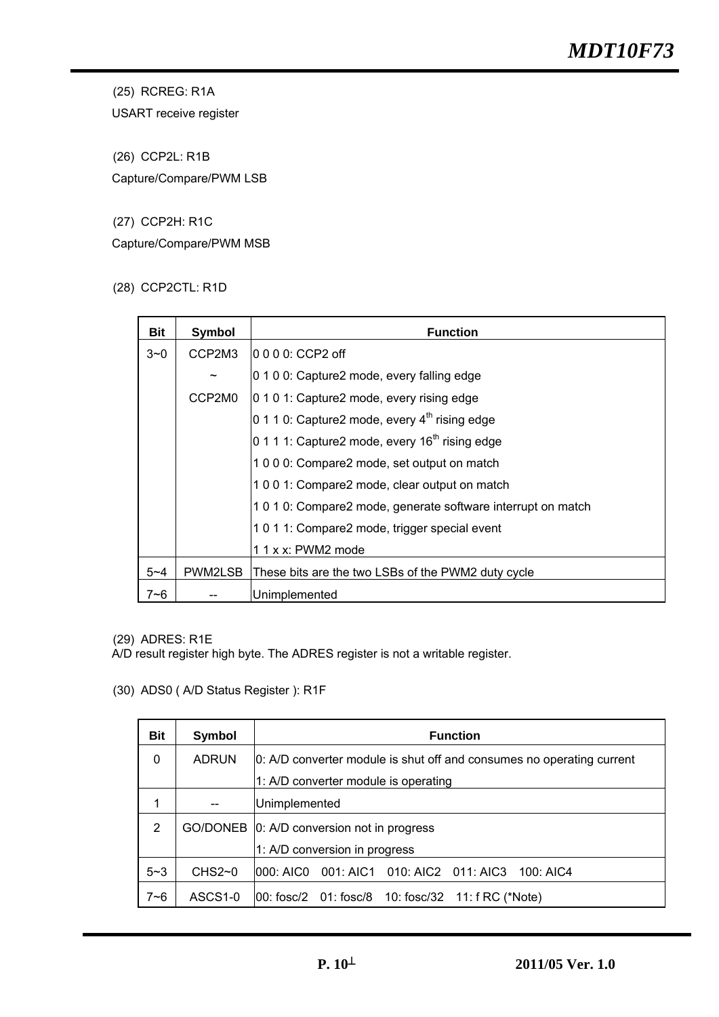(25) RCREG: R1A

USART receive register

(26) CCP2L: R1B Capture/Compare/PWM LSB

(27) CCP2H: R1C

Capture/Compare/PWM MSB

(28) CCP2CTL: R1D

| Bit     | Symbol  | <b>Function</b>                                              |
|---------|---------|--------------------------------------------------------------|
| $3 - 0$ | CCP2M3  |                                                              |
|         |         | 0 1 0 0: Capture2 mode, every falling edge                   |
|         | CCP2M0  | 0 1 0 1: Capture2 mode, every rising edge                    |
|         |         | 0 1 1 0: Capture2 mode, every $4^{\text{th}}$ rising edge    |
|         |         | 0 1 1 1: Capture2 mode, every $16th$ rising edge             |
|         |         | 1000: Compare2 mode, set output on match                     |
|         |         | 1001: Compare2 mode, clear output on match                   |
|         |         | 1 0 1 0: Compare2 mode, generate software interrupt on match |
|         |         | 1011: Compare2 mode, trigger special event                   |
|         |         | 1 1 x x: PWM2 mode                                           |
| $5 - 4$ | PWM2LSB | These bits are the two LSBs of the PWM2 duty cycle           |
| $7 - 6$ |         | Unimplemented                                                |

(29) ADRES: R1E

A/D result register high byte. The ADRES register is not a writable register.

(30) ADS0 ( A/D Status Register ): R1F

| <b>Bit</b> | <b>Symbol</b> | <b>Function</b>                                                       |
|------------|---------------|-----------------------------------------------------------------------|
| $\Omega$   | <b>ADRUN</b>  | 0: A/D converter module is shut off and consumes no operating current |
|            |               | 1: A/D converter module is operating                                  |
|            |               | Unimplemented                                                         |
| 2          |               | GO/DONEB 0: A/D conversion not in progress                            |
|            |               | 1: A/D conversion in progress                                         |
| $5 - 3$    | $CHS2-0$      | 000: AIC0  001: AIC1  010: AIC2  011: AIC3  100: AIC4                 |
| $7 - 6$    | ASCS1-0       | 00: fosc/2  01: fosc/8  10: fosc/32  11: f RC (*Note)                 |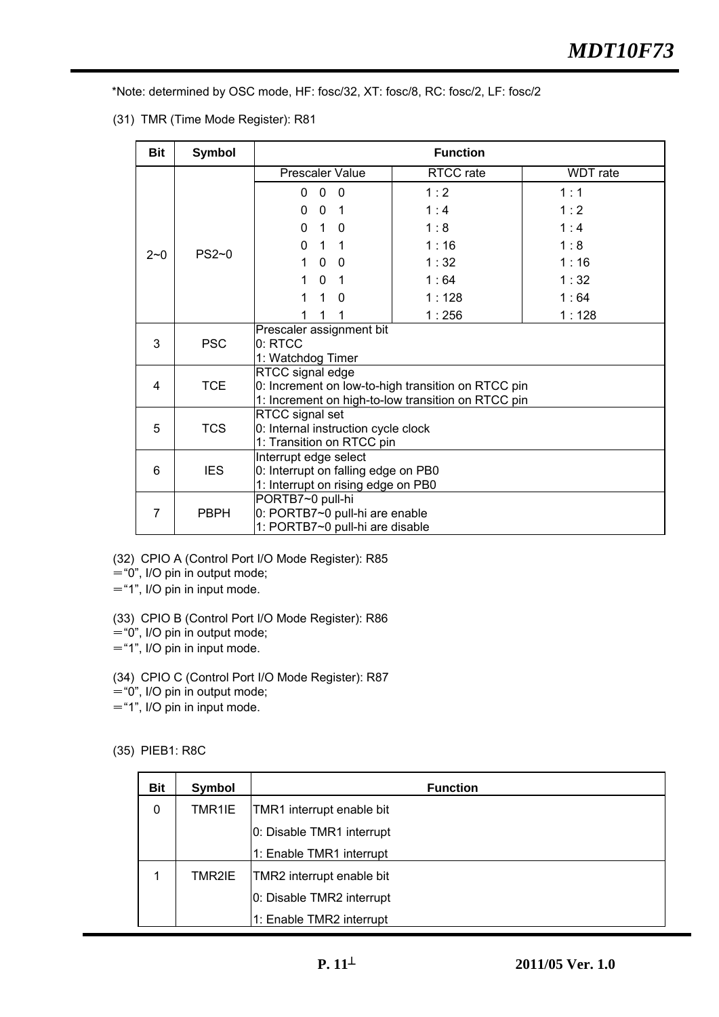\*Note: determined by OSC mode, HF: fosc/32, XT: fosc/8, RC: fosc/2, LF: fosc/2

(31) TMR (Time Mode Register): R81

| <b>Bit</b>          | <b>Symbol</b>             |                                                                                                                                                                                                                                         | <b>Function</b> |          |
|---------------------|---------------------------|-----------------------------------------------------------------------------------------------------------------------------------------------------------------------------------------------------------------------------------------|-----------------|----------|
|                     |                           | <b>Prescaler Value</b>                                                                                                                                                                                                                  | RTCC rate       | WDT rate |
|                     |                           | $\mathbf{0}$<br>$\overline{\phantom{0}}$<br>$\Omega$                                                                                                                                                                                    | 1:2             | 1:1      |
|                     |                           | 0<br>$\mathbf{0}$<br>$\overline{\phantom{0}}$                                                                                                                                                                                           | 1:4             | 1:2      |
|                     |                           | 1 0<br>$\mathbf{0}$                                                                                                                                                                                                                     | 1:8             | 1:4      |
|                     |                           | $\Omega$<br>$1 \quad 1$                                                                                                                                                                                                                 | 1:16            | 1:8      |
| $2 - 0$             | $PS2-0$                   | $\mathbf{0}$<br>1<br>$\overline{0}$                                                                                                                                                                                                     | 1:32            | 1:16     |
|                     |                           | $\Omega$<br>1<br>$\overline{1}$                                                                                                                                                                                                         | 1:64            | 1:32     |
|                     |                           | $\mathbf{1}$<br>1<br>$\Omega$                                                                                                                                                                                                           | 1:128           | 1:64     |
|                     |                           | 1                                                                                                                                                                                                                                       | 1:256           | 1:128    |
|                     | <b>PSC</b>                | Prescaler assignment bit                                                                                                                                                                                                                |                 |          |
| 3                   |                           | 0: RTCC<br>1: Watchdog Timer                                                                                                                                                                                                            |                 |          |
|                     |                           | RTCC signal edge                                                                                                                                                                                                                        |                 |          |
| 4                   | <b>TCE</b>                | 0: Increment on low-to-high transition on RTCC pin                                                                                                                                                                                      |                 |          |
|                     |                           |                                                                                                                                                                                                                                         |                 |          |
|                     |                           |                                                                                                                                                                                                                                         |                 |          |
|                     |                           |                                                                                                                                                                                                                                         |                 |          |
|                     |                           |                                                                                                                                                                                                                                         |                 |          |
| 6                   | <b>IES</b>                | 0: Interrupt on falling edge on PB0                                                                                                                                                                                                     |                 |          |
|                     |                           | 1: Interrupt on rising edge on PB0                                                                                                                                                                                                      |                 |          |
|                     |                           | PORTB7~0 pull-hi                                                                                                                                                                                                                        |                 |          |
|                     |                           |                                                                                                                                                                                                                                         |                 |          |
| 5<br>$\overline{7}$ | <b>TCS</b><br><b>PBPH</b> | 1: Increment on high-to-low transition on RTCC pin<br>RTCC signal set<br>0: Internal instruction cycle clock<br>1: Transition on RTCC pin<br>Interrupt edge select<br>0: PORTB7~0 pull-hi are enable<br>1: PORTB7~0 pull-hi are disable |                 |          |

(32) CPIO A (Control Port I/O Mode Register): R85

="0", I/O pin in output mode;

="1", I/O pin in input mode.

(33) CPIO B (Control Port I/O Mode Register): R86

 $=$  "0", I/O pin in output mode;

="1", I/O pin in input mode.

(34) CPIO C (Control Port I/O Mode Register): R87

="0", I/O pin in output mode;

="1", I/O pin in input mode.

(35) PIEB1: R8C

| <b>Bit</b> | Symbol | <b>Function</b>           |
|------------|--------|---------------------------|
| 0          | TMR1IE | TMR1 interrupt enable bit |
|            |        | 0: Disable TMR1 interrupt |
|            |        | 1: Enable TMR1 interrupt  |
|            | TMR2IE | TMR2 interrupt enable bit |
|            |        | 0: Disable TMR2 interrupt |
|            |        | 1: Enable TMR2 interrupt  |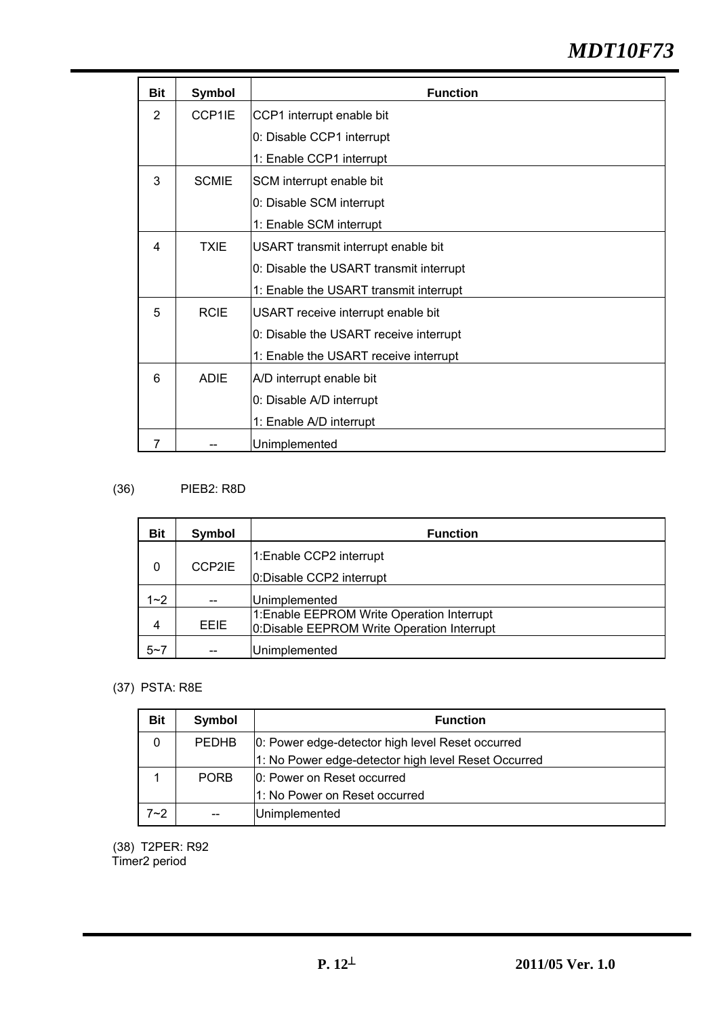# *MDT10F73*

| <b>Bit</b>     | Symbol       | <b>Function</b>                         |
|----------------|--------------|-----------------------------------------|
| $\overline{2}$ | CCP1IE       | CCP1 interrupt enable bit               |
|                |              | 0: Disable CCP1 interrupt               |
|                |              | 1: Enable CCP1 interrupt                |
| 3              | <b>SCMIE</b> | SCM interrupt enable bit                |
|                |              | 0: Disable SCM interrupt                |
|                |              | 1: Enable SCM interrupt                 |
| 4              | <b>TXIE</b>  | USART transmit interrupt enable bit     |
|                |              | 0: Disable the USART transmit interrupt |
|                |              | 1: Enable the USART transmit interrupt  |
| 5              | <b>RCIE</b>  | USART receive interrupt enable bit      |
|                |              | 0: Disable the USART receive interrupt  |
|                |              | 1: Enable the USART receive interrupt   |
| 6              | <b>ADIE</b>  | A/D interrupt enable bit                |
|                |              | 0: Disable A/D interrupt                |
|                |              | 1: Enable A/D interrupt                 |
| 7              |              | Unimplemented                           |

## (36) PIEB2: R8D

| <b>Bit</b> | Symbol      | <b>Function</b>                                                                           |
|------------|-------------|-------------------------------------------------------------------------------------------|
| 0          | CCP2IE      | 1:Enable CCP2 interrupt                                                                   |
|            |             | 0: Disable CCP2 interrupt                                                                 |
| $1 - 2$    | --          | Unimplemented                                                                             |
| 4          | <b>EEIE</b> | 1: Enable EEPROM Write Operation Interrupt<br>0: Disable EEPROM Write Operation Interrupt |
| $5 - 7$    | --          | <b>Unimplemented</b>                                                                      |

## (37) PSTA: R8E

| <b>Bit</b> | Symbol       | <b>Function</b>                                     |  |
|------------|--------------|-----------------------------------------------------|--|
| 0          | <b>PEDHB</b> | 0: Power edge-detector high level Reset occurred    |  |
|            |              | 1: No Power edge-detector high level Reset Occurred |  |
|            | <b>PORB</b>  | 0: Power on Reset occurred                          |  |
|            |              | 1: No Power on Reset occurred                       |  |
| $7 - 2$    | $-$          | Unimplemented                                       |  |

(38) T2PER: R92 Timer2 period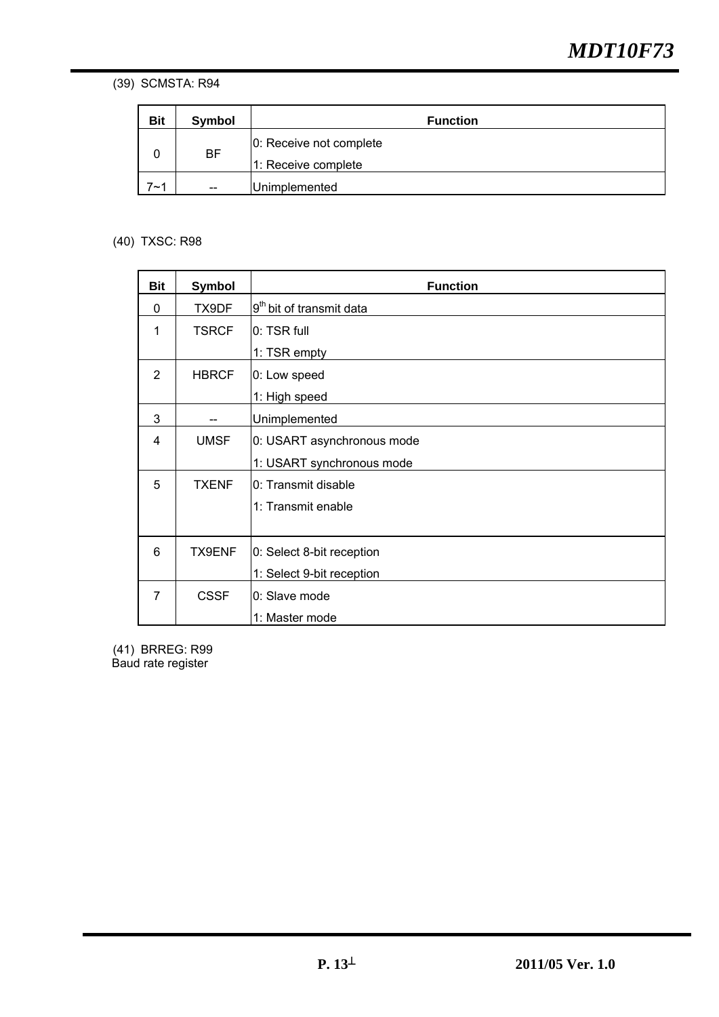(39) SCMSTA: R94

| <b>Bit</b> | Symbol    | <b>Function</b>                                |
|------------|-----------|------------------------------------------------|
|            | <b>BF</b> | 0: Receive not complete<br>1: Receive complete |
| 7∼1        | $-$       | Unimplemented                                  |

### (40) TXSC: R98

| Bit | <b>Symbol</b> | <b>Function</b>                      |
|-----|---------------|--------------------------------------|
| 0   | TX9DF         | 9 <sup>th</sup> bit of transmit data |
| 1   | <b>TSRCF</b>  | 0: TSR full                          |
|     |               | 1: TSR empty                         |
| 2   | <b>HBRCF</b>  | 0: Low speed                         |
|     |               | 1: High speed                        |
| 3   |               | Unimplemented                        |
| 4   | <b>UMSF</b>   | 0: USART asynchronous mode           |
|     |               | 1: USART synchronous mode            |
| 5   | <b>TXENF</b>  | 0: Transmit disable                  |
|     |               | 1: Transmit enable                   |
|     |               |                                      |
| 6   | TX9ENF        | 0: Select 8-bit reception            |
|     |               | 1: Select 9-bit reception            |
| 7   | <b>CSSF</b>   | 0: Slave mode                        |
|     |               | 1: Master mode                       |

(41) BRREG: R99 Baud rate register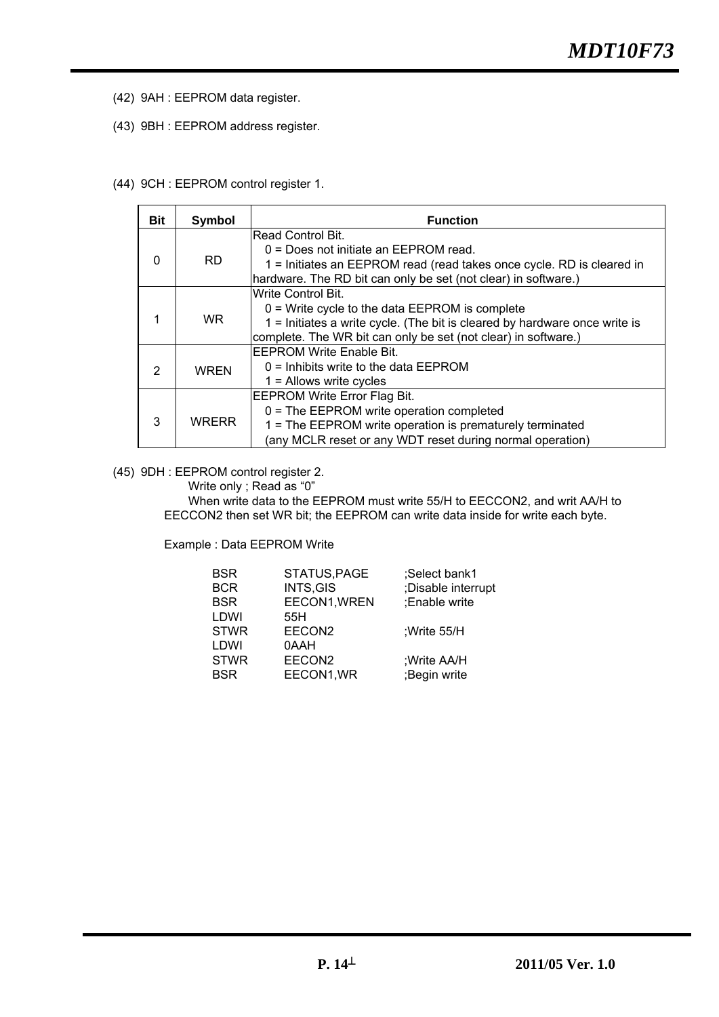- (42) 9AH : EEPROM data register.
- (43) 9BH : EEPROM address register.
- (44) 9CH : EEPROM control register 1.

| <b>Bit</b> | Symbol       | <b>Function</b>                                                            |  |
|------------|--------------|----------------------------------------------------------------------------|--|
|            |              | Read Control Bit.                                                          |  |
|            |              | 0 = Does not initiate an EEPROM read.                                      |  |
| $\Omega$   | RD.          | 1 = Initiates an EEPROM read (read takes once cycle. RD is cleared in      |  |
|            |              | hardware. The RD bit can only be set (not clear) in software.)             |  |
|            |              | lWrite Control Bit.                                                        |  |
|            |              | $0 =$ Write cycle to the data EEPROM is complete                           |  |
|            | WR.          | 1 = Initiates a write cycle. (The bit is cleared by hardware once write is |  |
|            |              | complete. The WR bit can only be set (not clear) in software.)             |  |
|            |              | IEEPROM Write Enable Bit.                                                  |  |
| 2          | <b>WREN</b>  | $0 =$ Inhibits write to the data EEPROM                                    |  |
|            |              | $1 =$ Allows write cycles                                                  |  |
|            |              | <b>EEPROM Write Error Flag Bit.</b>                                        |  |
| 3          | <b>WRERR</b> | $0 =$ The EEPROM write operation completed                                 |  |
|            |              | 1 = The EEPROM write operation is prematurely terminated                   |  |
|            |              | (any MCLR reset or any WDT reset during normal operation)                  |  |

(45) 9DH : EEPROM control register 2.

Write only ; Read as "0"

When write data to the EEPROM must write 55/H to EECCON2, and writ AA/H to EECCON2 then set WR bit; the EEPROM can write data inside for write each byte.

Example : Data EEPROM Write

| <b>BSR</b>  | STATUS, PAGE       | ;Select bank1      |
|-------------|--------------------|--------------------|
| <b>BCR</b>  | INTS, GIS          | ;Disable interrupt |
| <b>BSR</b>  | EECON1, WREN       | :Enable write      |
| LDWI        | 55H                |                    |
| <b>STWR</b> | EECON <sub>2</sub> | :Write $55/H$      |
| LDWI        | 0AAH               |                    |
| <b>STWR</b> | EECON <sub>2</sub> | ;Write AA/H        |
| <b>BSR</b>  | EECON1, WR         | ;Begin write       |
|             |                    |                    |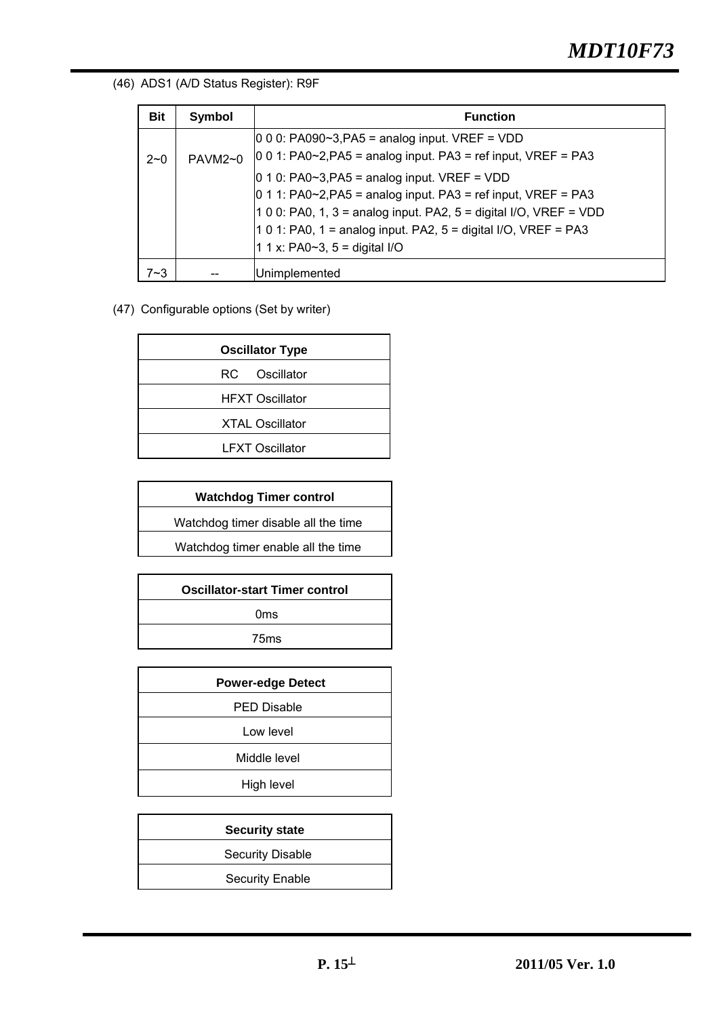### (46) ADS1 (A/D Status Register): R9F

| <b>Bit</b> | <b>Symbol</b>  | <b>Function</b>                                                                                                                                                                                                                                                                                                                                                                                                              |
|------------|----------------|------------------------------------------------------------------------------------------------------------------------------------------------------------------------------------------------------------------------------------------------------------------------------------------------------------------------------------------------------------------------------------------------------------------------------|
| $2 - 0$    | <b>PAVM2~0</b> | $ 0\ 0\ 0$ : PA090~3, PA5 = analog input. VREF = VDD<br>$ 0\ 0\ 1$ : PA0~2, PA5 = analog input. PA3 = ref input, VREF = PA3<br>$ 0 1 0$ : PA0~3, PA5 = analog input. VREF = VDD<br>$ 0 1 1$ : PA0~2, PA5 = analog input. PA3 = ref input, VREF = PA3<br>1 0 0: PA0, 1, 3 = analog input. PA2, 5 = digital I/O, VREF = VDD<br>1 0 1: PA0, 1 = analog input. PA2, 5 = digital I/O, VREF = PA3<br>1 1 x: PA0~3, 5 = digital I/O |
| $7 - 3$    |                | Unimplemented                                                                                                                                                                                                                                                                                                                                                                                                                |

### (47) Configurable options (Set by writer)

|  | <b>Oscillator Type</b> |
|--|------------------------|
|  | RC Oscillator          |
|  | <b>HFXT Oscillator</b> |
|  | <b>XTAL Oscillator</b> |
|  | <b>LFXT Oscillator</b> |
|  |                        |

| <b>Watchdog Timer control</b>       |  |  |
|-------------------------------------|--|--|
| Watchdog timer disable all the time |  |  |
| Watchdog timer enable all the time  |  |  |
|                                     |  |  |

| <b>Oscillator-start Timer control</b> |  |
|---------------------------------------|--|
| Oms                                   |  |
| 75 <sub>ms</sub>                      |  |
|                                       |  |

| <b>Power-edge Detect</b> |  |
|--------------------------|--|
| <b>PED Disable</b>       |  |
| Low level                |  |
| Middle level             |  |
| High level               |  |
|                          |  |

| <b>Security state</b>   |
|-------------------------|
| <b>Security Disable</b> |
| <b>Security Enable</b>  |
|                         |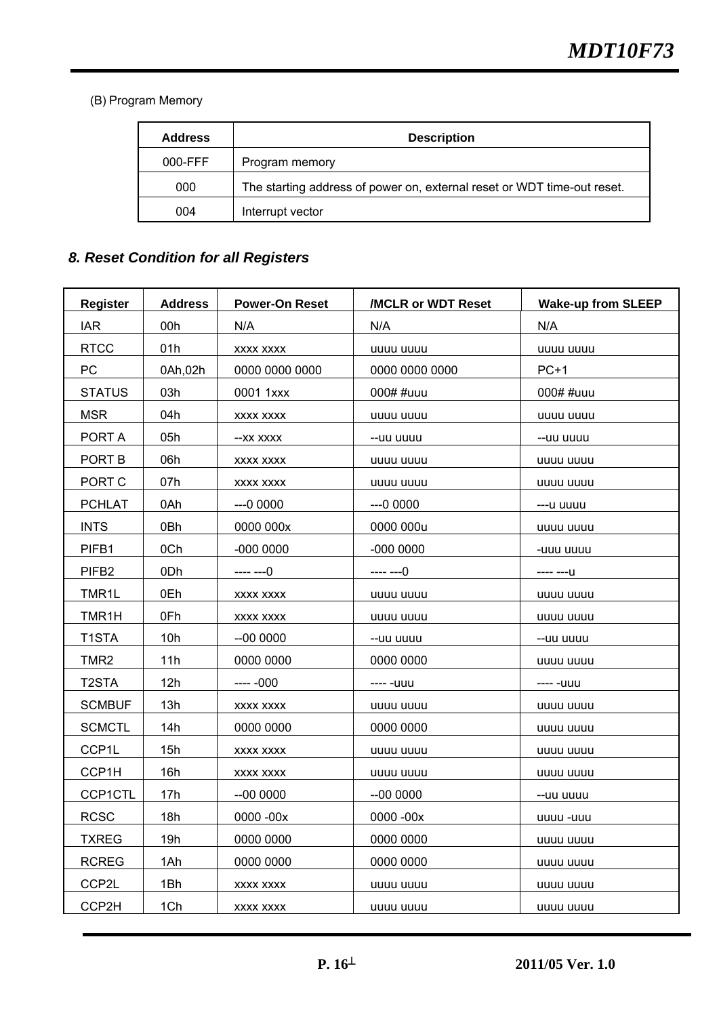(B) Program Memory

| <b>Address</b> | <b>Description</b>                                                      |
|----------------|-------------------------------------------------------------------------|
| $000-FFF$      | Program memory                                                          |
| 000            | The starting address of power on, external reset or WDT time-out reset. |
| 004            | Interrupt vector                                                        |

## *8. Reset Condition for all Registers*

| <b>Register</b>    | <b>Address</b> | <b>Power-On Reset</b> | /MCLR or WDT Reset | <b>Wake-up from SLEEP</b> |
|--------------------|----------------|-----------------------|--------------------|---------------------------|
| <b>IAR</b>         | 00h            | N/A                   | N/A                | N/A                       |
| <b>RTCC</b>        | 01h            | XXXX XXXX             | uuuu uuuu          | uuuu uuuu                 |
| PC.                | 0Ah, 02h       | 0000 0000 0000        | 0000 0000 0000     | $PC+1$                    |
| <b>STATUS</b>      | 03h            | 0001 1xxx             | 000# #uuu          | 000# #uuu                 |
| <b>MSR</b>         | 04h            | XXXX XXXX             | uuuu uuuu          | uuuu uuuu                 |
| PORT A             | 05h            | --XX XXXX             | --uu uuuu          | --uu uuuu                 |
| PORT B             | 06h            | XXXX XXXX             | uuuu uuuu          | uuuu uuuu                 |
| PORT C             | 07h            | XXXX XXXX             | uuuu uuuu          | uuuu uuuu                 |
| <b>PCHLAT</b>      | 0Ah            | $-00000$              | $-00000$           | ---u uuuu                 |
| <b>INTS</b>        | 0Bh            | 0000 000x             | 0000 000u          | uuuu uuuu                 |
| PIFB1              | 0Ch            | $-0000000$            | $-0000000$         | -uuu uuuu                 |
| PIFB <sub>2</sub>  | 0Dh            | $--- -0$              | $--- -0$           | $--- -U$                  |
| TMR1L              | 0Eh            | XXXX XXXX             | uuuu uuuu          | uuuu uuuu                 |
| TMR1H              | 0Fh            | XXXX XXXX             | uuuu uuuu          | uuuu uuuu                 |
| T1STA              | 10h            | $-000000$             | --uu uuuu          | --uu uuuu                 |
| TMR2               | 11h            | 0000 0000             | 0000 0000          | uuuu uuuu                 |
| T <sub>2</sub> STA | 12h            | ---- -000             | ---- -uuu          | ---- -uuu                 |
| <b>SCMBUF</b>      | 13h            | XXXX XXXX             | uuuu uuuu          | uuuu uuuu                 |
| <b>SCMCTL</b>      | 14h            | 0000 0000             | 0000 0000          | uuuu uuuu                 |
| CCP1L              | 15h            | XXXX XXXX             | uuuu uuuu          | uuuu uuuu                 |
| CCP1H              | 16h            | XXXX XXXX             | uuuu uuuu          | uuuu uuuu                 |
| CCP1CTL            | 17h            | --00 0000             | $-000000$          | --uu uuuu                 |
| <b>RCSC</b>        | 18h            | 0000 - 00x            | 0000 - 00x         | uuuu -uuu                 |
| <b>TXREG</b>       | 19h            | 0000 0000             | 0000 0000          | uuuu uuuu                 |
| <b>RCREG</b>       | 1Ah            | 0000 0000             | 0000 0000          | uuuu uuuu                 |
| CCP2L              | 1Bh            | XXXX XXXX             | uuuu uuuu          | uuuu uuuu                 |
| CCP2H              | 1Ch            | <b>XXXX XXXX</b>      | uuuu uuuu          | uuuu uuuu                 |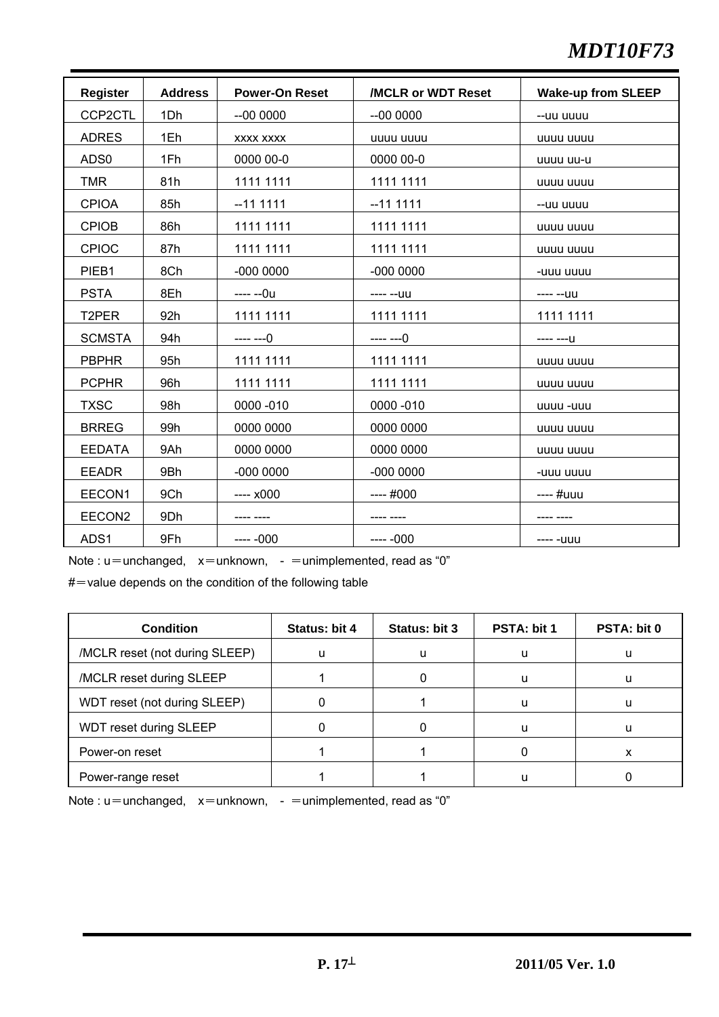# *MDT10F73*

| <b>Register</b>    | <b>Address</b> | <b>Power-On Reset</b> | /MCLR or WDT Reset | <b>Wake-up from SLEEP</b> |
|--------------------|----------------|-----------------------|--------------------|---------------------------|
| CCP2CTL            | 1Dh            | $-000000$             | $-000000$          | --uu uuuu                 |
| <b>ADRES</b>       | 1Eh            | <b>XXXX XXXX</b>      | uuuu uuuu          | uuuu uuuu                 |
| ADS <sub>0</sub>   | 1Fh            | 0000 00-0             | 0000 00-0          | uuuu uu-u                 |
| <b>TMR</b>         | 81h            | 1111 1111             | 1111 1111          | uuuu uuuu                 |
| <b>CPIOA</b>       | 85h            | $-111111$             | $-111111$          | --uu uuuu                 |
| <b>CPIOB</b>       | 86h            | 1111 1111             | 1111 1111          | uuuu uuuu                 |
| <b>CPIOC</b>       | 87h            | 1111 1111             | 1111 1111          | uuuu uuuu                 |
| PIEB1              | 8Ch            | $-0000000$            | $-0000000$         | -uuu uuuu                 |
| <b>PSTA</b>        | 8Eh            | ---- --0u             | ---- --uu          | ---- --uu                 |
| T <sub>2</sub> PER | 92h            | 1111 1111             | 1111 1111          | 1111 1111                 |
| <b>SCMSTA</b>      | 94h            | ---- ---0             | ---- ---0          | ---- ---U                 |
| <b>PBPHR</b>       | 95h            | 1111 1111             | 1111 1111          | uuuu uuuu                 |
| <b>PCPHR</b>       | 96h            | 1111 1111             | 1111 1111          | uuuu uuuu                 |
| <b>TXSC</b>        | 98h            | 0000 - 010            | 0000 - 010         | uuuu -uuu                 |
| <b>BRREG</b>       | 99h            | 0000 0000             | 0000 0000          | uuuu uuuu                 |
| <b>EEDATA</b>      | 9Ah            | 0000 0000             | 0000 0000          | uuuu uuuu                 |
| <b>EEADR</b>       | 9Bh            | $-0000000$            | $-0000000$         | -uuu uuuu                 |
| EECON1             | 9Ch            | $--- x000$            | $---#000$          | ---- #uuu                 |
| EECON2             | 9Dh            | ---- ----             | ---- ----          | ---- ----                 |
| ADS1               | 9Fh            | $--- -000$            | $--- -000$         | ---- -uuu                 |

Note :  $u$  = unchanged,  $x$  = unknown, - = unimplemented, read as "0"

 $#$  value depends on the condition of the following table

| <b>Condition</b>               | Status: bit 4 | Status: bit 3 | PSTA: bit 1 | <b>PSTA: bit 0</b> |
|--------------------------------|---------------|---------------|-------------|--------------------|
| /MCLR reset (not during SLEEP) | $\mathbf{u}$  | и             | u           | u                  |
| /MCLR reset during SLEEP       |               |               |             |                    |
| WDT reset (not during SLEEP)   |               |               |             |                    |
| WDT reset during SLEEP         |               |               |             |                    |
| Power-on reset                 |               |               |             | x                  |
| Power-range reset              |               |               |             |                    |

Note :  $u=$ unchanged,  $x=$ unknown, -  $=$ unimplemented, read as "0"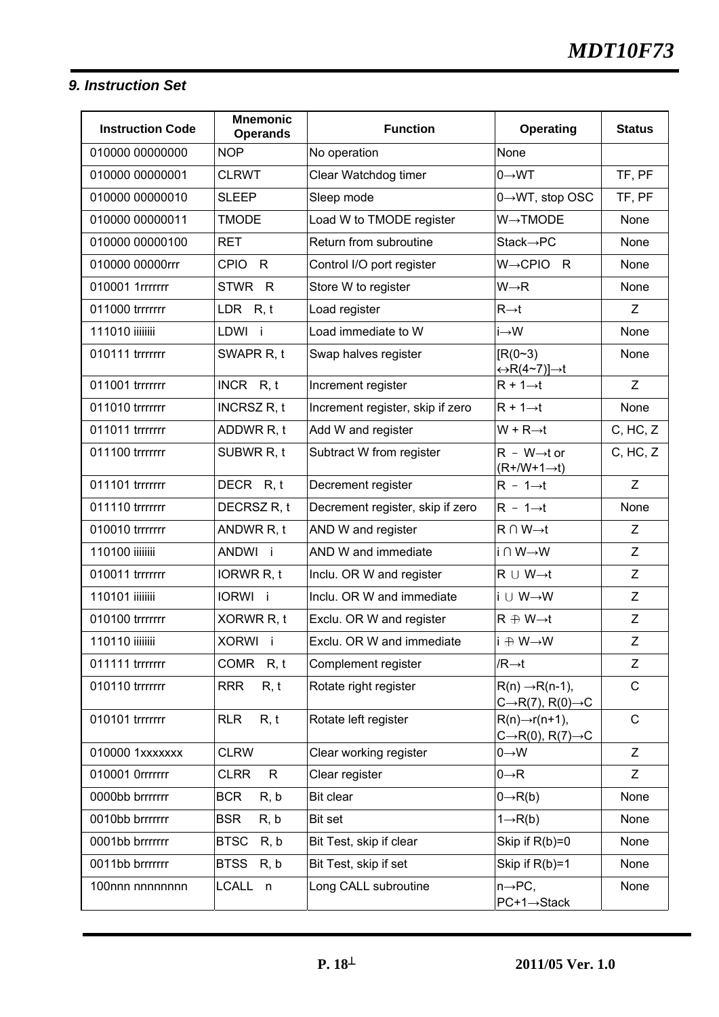### *9. Instruction Set*

| <b>Instruction Code</b> | <b>Mnemonic</b><br><b>Operands</b> | <b>Function</b>                  | <b>Operating</b>                                                         | <b>Status</b> |
|-------------------------|------------------------------------|----------------------------------|--------------------------------------------------------------------------|---------------|
| 010000 00000000         | <b>NOP</b>                         | No operation                     | None                                                                     |               |
| 010000 00000001         | <b>CLRWT</b>                       | Clear Watchdog timer             | $0 \rightarrow WT$                                                       | TF, PF        |
| 010000 00000010         | <b>SLEEP</b>                       | Sleep mode                       | $0 \rightarrow W$ T, stop OSC                                            | TF, PF        |
| 010000 00000011         | <b>TMODE</b>                       | Load W to TMODE register         | $W \rightarrow TMODE$                                                    | None          |
| 010000 00000100         | <b>RET</b>                         | Return from subroutine           | $Stack \rightarrow PC$                                                   | None          |
| 010000 00000rrr         | <b>CPIO</b><br>$\mathsf{R}$        | Control I/O port register        | $W \rightarrow CPIO$<br>R                                                | None          |
| 010001 1rrrrrrr         | STWR R                             | Store W to register              | $W \rightarrow R$                                                        | None          |
| 011000 trrrrrrr         | LDR $R, t$                         | Load register                    | $R\rightarrow t$                                                         | Ζ             |
| 111010 iiiiiiii         | LDWI i                             | Load immediate to W              | $i \rightarrow W$                                                        | None          |
| 010111 trrrrrrr         | SWAPR R, t                         | Swap halves register             | $IR(0-3)$<br>$\Leftrightarrow R(4 \sim 7)] \rightarrow t$                | None          |
| 011001 trrrrrrr         | INCR R, t                          | Increment register               | $R + 1 \rightarrow t$                                                    | Z             |
| 011010 trrrrrrr         | <b>INCRSZ R, t</b>                 | Increment register, skip if zero | $R + 1 \rightarrow t$                                                    | None          |
| 011011 trrrrrrr         | ADDWR R, t                         | Add W and register               | $W + R \rightarrow t$                                                    | C, HC, Z      |
| 011100 trrrrrrr         | SUBWR R, t                         | Subtract W from register         | $R - W \rightarrow t$ or<br>$(R+/W+1\rightarrow t)$                      | C, HC, Z      |
| 011101 trrrrrrr         | DECR R, t                          | Decrement register               | $R - 1 \rightarrow t$                                                    | Z             |
| 011110 trrrrrrr         | DECRSZ R, t                        | Decrement register, skip if zero | $R - 1 \rightarrow t$                                                    | None          |
| 010010 trrrrrrr         | ANDWR R, t                         | AND W and register               | $R \cap W \rightarrow t$                                                 | Z             |
| 110100 iiiiiiii         | ANDWI i                            | AND W and immediate              | i∩W→W                                                                    | Z             |
| 010011 trrrrrrr         | IORWR R, t                         | Inclu. OR W and register         | $R \cup W \rightarrow t$                                                 | Z             |
| 110101 iiiiiiii         | IORWI i                            | Inclu. OR W and immediate        | i ∪ W→W                                                                  | Z             |
| 010100 trrrrrrr         | XORWR R, t                         | Exclu. OR W and register         | $R \oplus W \rightarrow t$                                               | Z             |
| 110110 iiiiiiii         | XORWI i                            | Exclu. OR W and immediate        | li ⊕ W→W                                                                 | Z             |
| 011111 trrrrrrr         | COMR R, t                          | Complement register              | $/R \rightarrow t$                                                       | Z             |
| 010110 trrrrrrr         | R, t<br><b>RRR</b>                 | Rotate right register            | $R(n) \rightarrow R(n-1)$ ,<br>$C\rightarrow R(7)$ , $R(0)\rightarrow C$ | $\mathsf C$   |
| 010101 trrrrrrr         | <b>RLR</b><br>R, t                 | Rotate left register             | $R(n) \rightarrow r(n+1)$ ,<br>$C\rightarrow R(0), R(7)\rightarrow C$    | $\mathsf C$   |
| 010000 1xxxxxxx         | <b>CLRW</b>                        | Clear working register           | $0 \rightarrow W$                                                        | Z             |
| 010001 0rrrrrrr         | <b>CLRR</b><br>$\mathsf{R}$        | Clear register                   | $0 \rightarrow R$                                                        | Z             |
| 0000bb brrrrrrr         | <b>BCR</b><br>R, b                 | Bit clear                        | $0 \rightarrow R(b)$                                                     | None          |
| 0010bb brrrrrrr         | R, b<br><b>BSR</b>                 | Bit set                          | $1 \rightarrow R(b)$                                                     | None          |
| 0001bb brrrrrrr         | R, b<br><b>BTSC</b>                | Bit Test, skip if clear          | Skip if $R(b)=0$                                                         | None          |
| 0011bb brrrrrrr         | <b>BTSS</b><br>R, b                | Bit Test, skip if set            | Skip if $R(b)=1$                                                         | None          |
| 100nnn nnnnnnnn         | <b>LCALL</b><br>n                  | Long CALL subroutine             | $n \rightarrow PC$ ,<br>PC+1→Stack                                       | None          |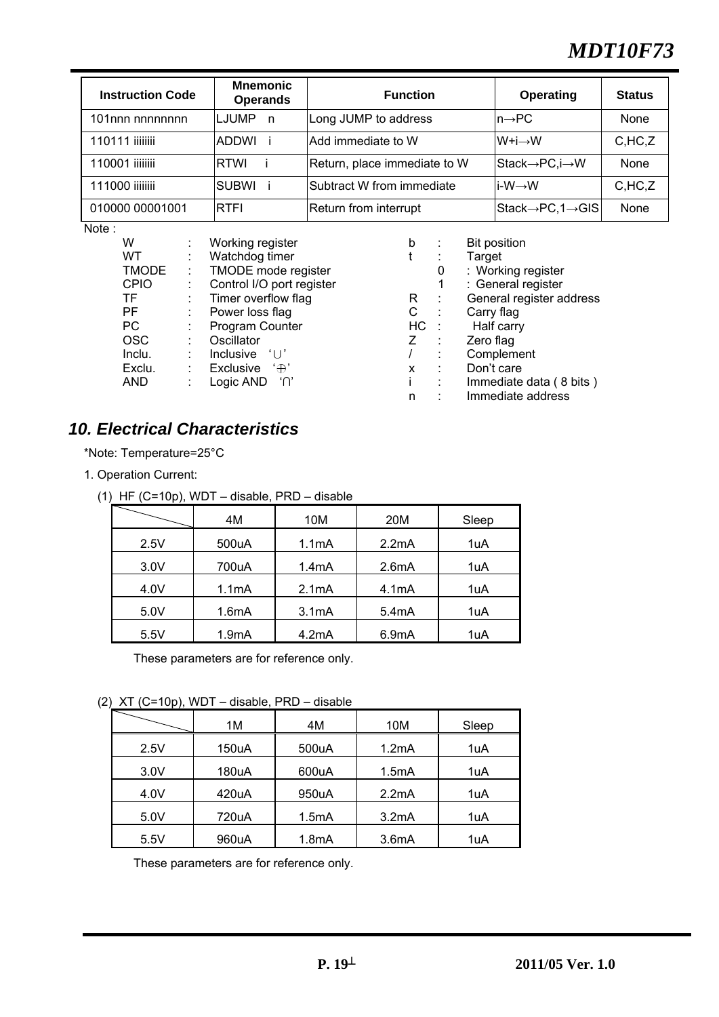# *MDT10F73*

| <b>Instruction Code</b> | <b>Mnemonic</b><br><b>Operands</b> | <b>Function</b>              | Operating                                   | <b>Status</b> |
|-------------------------|------------------------------------|------------------------------|---------------------------------------------|---------------|
| 101nnn nnnnnnnn         | <b>LJUMP</b><br>n,                 | Long JUMP to address         | $\mathsf{In}\rightarrow\mathsf{PC}$         | None          |
| 110111 iiiiiiii         | IADDWI                             | Add immediate to W           | $W+i \rightarrow W$                         | C,HC, Z       |
| 110001 iiiiiiii         | RTWI                               | Return, place immediate to W | Stack→PC,i→W                                | None          |
| 111000 iiiiiiii         | <b>SUBWI</b>                       | Subtract W from immediate    | i-W→W                                       | C,HC, Z       |
| 010000 00001001         | RTFI                               | Return from interrupt        | $ Stack \rightarrow PC, 1 \rightarrow GIS $ | None          |

Note:

| W            | Working register                                | b   |   | <b>Bit position</b>      |
|--------------|-------------------------------------------------|-----|---|--------------------------|
| WT.          | Watchdog timer                                  |     |   | Target                   |
| <b>TMODE</b> | TMODE mode register                             |     | 0 | : Working register       |
| <b>CPIO</b>  | Control I/O port register                       |     | 1 | : General register       |
| TF.          | Timer overflow flag                             | R   |   | General register address |
| PF           | Power loss flag                                 | С   |   | Carry flag               |
| РC           | Program Counter                                 | HC. |   | Half carry               |
| <b>OSC</b>   | Oscillator                                      | Ζ   |   | Zero flag                |
| Inclu.       | <b>Inclusive</b><br>$\mathcal{L}$ $\mathcal{L}$ |     |   | Complement               |
| Exclu.       | Exclusive<br>$\cdot \oplus \cdot$               | x   |   | Don't care               |
| <b>AND</b>   | Logic AND<br>ໍ′∩                                |     |   | Immediate data (8 bits)  |
|              |                                                 | n   |   | Immediate address        |

## *10. Electrical Characteristics*

\*Note: Temperature=25°C

- 1. Operation Current:
	- (1) HF (C=10p), WDT disable, PRD disable

|      | 4M                 | 10M                | 20M   | Sleep |
|------|--------------------|--------------------|-------|-------|
| 2.5V | 500uA              | 1.1 <sub>m</sub> A | 2.2mA | 1uA   |
| 3.0V | 700uA              | 1.4 <sub>m</sub> A | 2.6mA | 1uA   |
| 4.0V | 1.1mA              | 2.1mA              | 4.1mA | 1uA   |
| 5.0V | 1.6mA              | 3.1mA              | 5.4mA | 1uA   |
| 5.5V | 1.9 <sub>m</sub> A | 4.2mA              | 6.9mA | 1uA   |

These parameters are for reference only.

(2) XT (C=10p), WDT – disable, PRD – disable

| .    |       |                    |       |       |
|------|-------|--------------------|-------|-------|
|      | 1M    | 4M                 | 10M   | Sleep |
| 2.5V | 150uA | 500uA              | 1.2mA | 1uA   |
| 3.0V | 180uA | 600uA              | 1.5mA | 1uA   |
| 4.0V | 420uA | 950uA              | 2.2mA | 1uA   |
| 5.0V | 720uA | 1.5mA              | 3.2mA | 1uA   |
| 5.5V | 960uA | 1.8 <sub>m</sub> A | 3.6mA | 1uA   |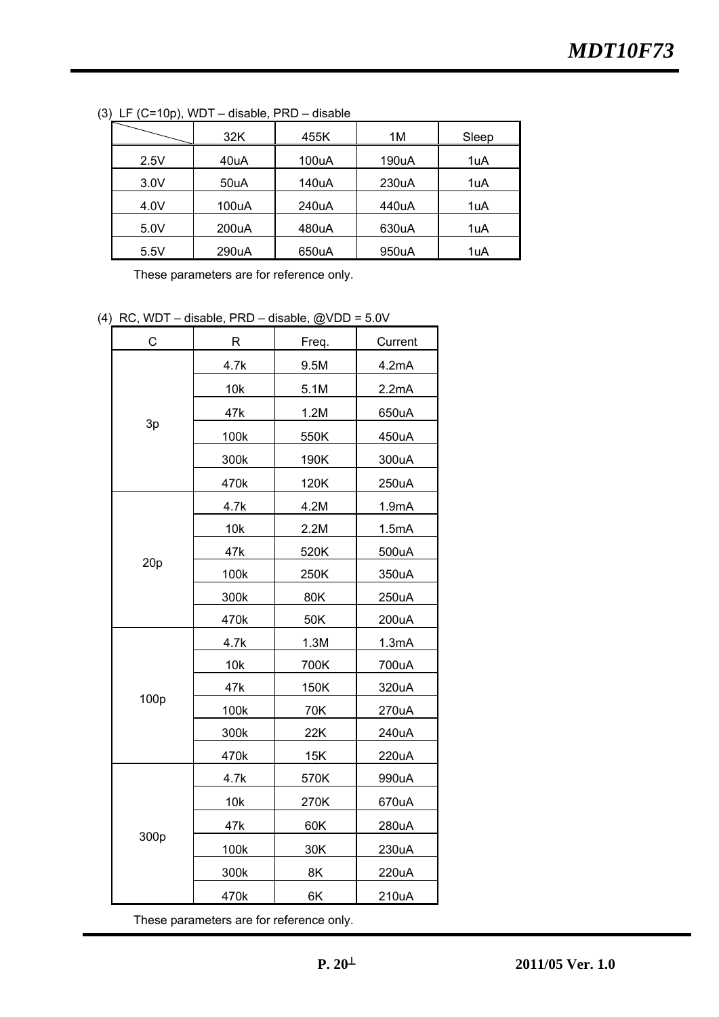|      | 32K   | 455K  | 1M    | Sleep |
|------|-------|-------|-------|-------|
| 2.5V | 40uA  | 100uA | 190uA | 1uA   |
| 3.0V | 50uA  | 140uA | 230uA | 1uA   |
| 4.0V | 100uA | 240uA | 440uA | 1uA   |
| 5.0V | 200uA | 480uA | 630uA | 1uA   |
| 5.5V | 290uA | 650uA | 950uA | 1uA   |

(3) LF (C=10p), WDT – disable, PRD – disable

These parameters are for reference only.

(4) RC, WDT – disable, PRD – disable,  $@VDD = 5.0V$ 

| C    | $\mathsf R$ | Freq. | Current |
|------|-------------|-------|---------|
|      | 4.7k        | 9.5M  | 4.2mA   |
|      | 10k         | 5.1M  | 2.2mA   |
|      | 47k         | 1.2M  | 650uA   |
| 3p   | 100k        | 550K  | 450uA   |
|      | 300k        | 190K  | 300uA   |
|      | 470k        | 120K  | 250uA   |
|      | 4.7k        | 4.2M  | 1.9mA   |
|      | 10k         | 2.2M  | 1.5mA   |
|      | 47k         | 520K  | 500uA   |
| 20p  | 100k        | 250K  | 350uA   |
|      | 300k        | 80K   | 250uA   |
|      | 470k        | 50K   | 200uA   |
|      | 4.7k        | 1.3M  | 1.3mA   |
|      | 10k         | 700K  | 700uA   |
| 100p | 47k         | 150K  | 320uA   |
|      | 100k        | 70K   | 270uA   |
|      | 300k        | 22K   | 240uA   |
|      | 470k        | 15K   | 220uA   |
|      | 4.7k        | 570K  | 990uA   |
|      | 10k         | 270K  | 670uA   |
|      | 47k         | 60K   | 280uA   |
| 300p | 100k        | 30K   | 230uA   |
|      | 300k        | 8K    | 220uA   |
|      | 470k        | 6K    | 210uA   |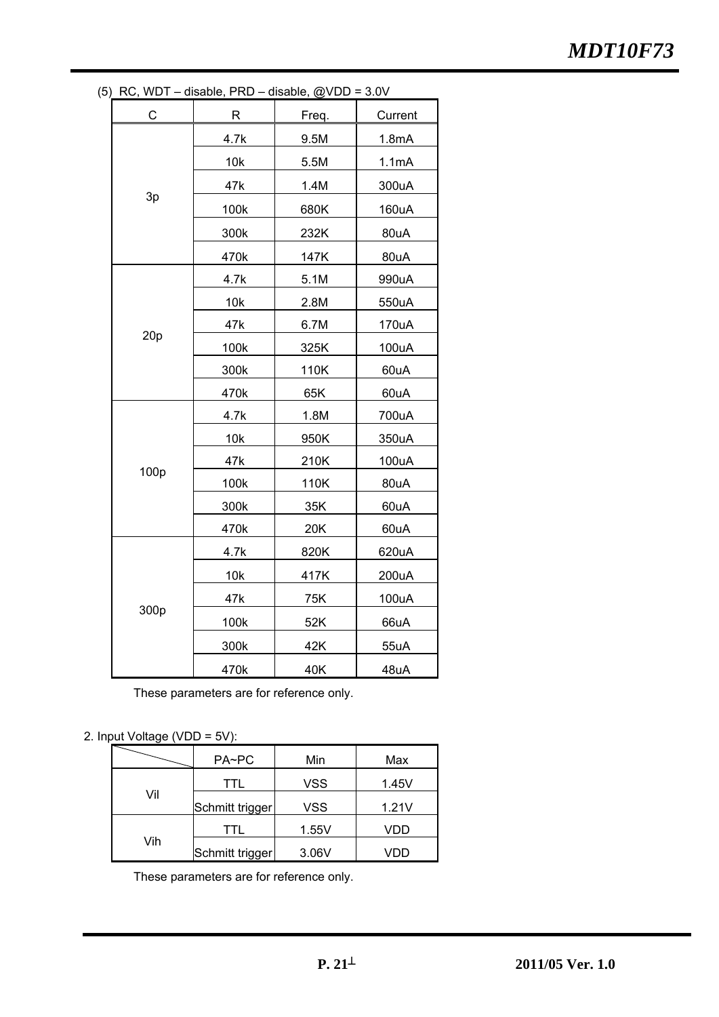|                           | ) RC, WDT – disable, PRD – disable, @VDD = 3.0V |       |         |
|---------------------------|-------------------------------------------------|-------|---------|
| $\mathsf{C}_{\mathsf{L}}$ | R                                               | Freq. | Current |
|                           | 4.7k                                            | 9.5M  | 1.8mA   |
|                           | 10k                                             | 5.5M  | 1.1mA   |
|                           | 47k                                             | 1.4M  | 300uA   |
| 3p                        | 100k                                            | 680K  | 160uA   |
|                           | 300k                                            | 232K  | 80uA    |
|                           | 470k                                            | 147K  | 80uA    |
|                           | 4.7k                                            | 5.1M  | 990uA   |
|                           | 10k                                             | 2.8M  | 550uA   |
|                           | 47k                                             | 6.7M  | 170uA   |
| 20p                       | 100k                                            | 325K  | 100uA   |
|                           | 300k                                            | 110K  | 60uA    |
|                           | 470k                                            | 65K   | 60uA    |
|                           | 4.7k                                            | 1.8M  | 700uA   |
|                           | 10k                                             | 950K  | 350uA   |
|                           | 47k                                             | 210K  | 100uA   |
| 100p                      | 100k                                            | 110K  | 80uA    |
|                           | 300k                                            | 35K   | 60uA    |
|                           | 470k                                            | 20K   | 60uA    |
|                           | 4.7k                                            | 820K  | 620uA   |
|                           | 10k                                             | 417K  | 200uA   |
|                           | 47k                                             | 75K   | 100uA   |
| 300p                      | 100k                                            | 52K   | 66uA    |
|                           | 300k                                            | 42K   | 55uA    |
|                           | 470k                                            | 40K   | 48uA    |

(5) RC, WDT – disable, PRD – disable, @VDD = 3.0V

These parameters are for reference only.

## 2. Input Voltage (VDD = 5V):

|     | PA~PC           | Min        | Max   |
|-----|-----------------|------------|-------|
|     | TTL             | <b>VSS</b> | 1.45V |
| Vil | Schmitt trigger | <b>VSS</b> | 1.21V |
|     | TTL             | 1.55V      | VDD   |
| Vih | Schmitt trigger | 3.06V      |       |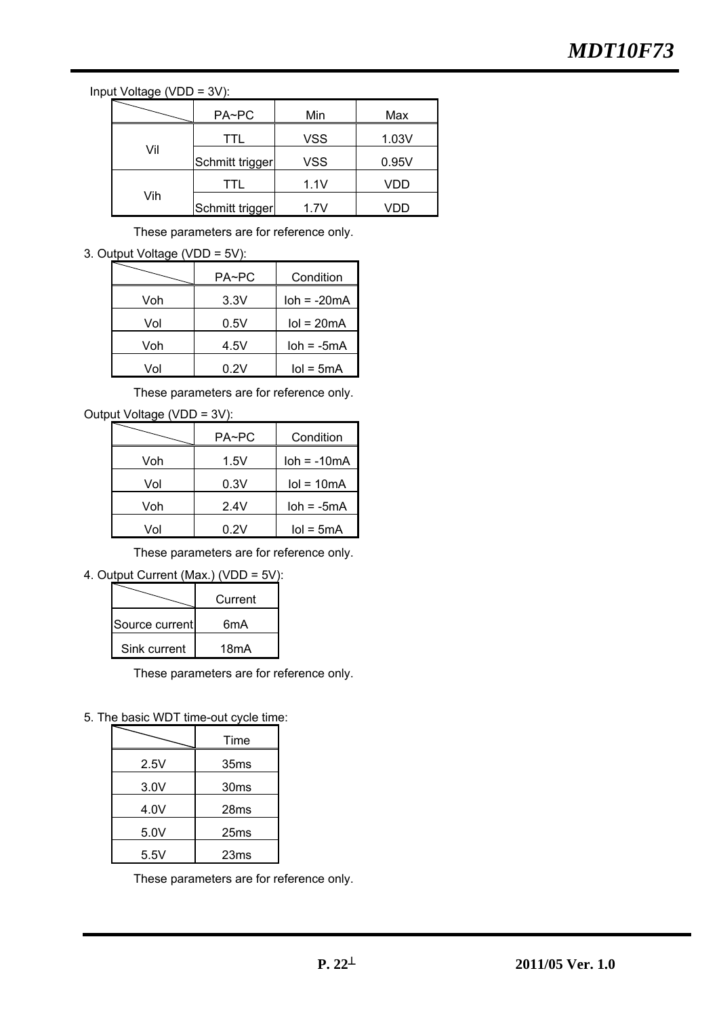Input Voltage (VDD = 3V):

|     | PA~PC           | Min        | Max   |
|-----|-----------------|------------|-------|
|     | TTL             | <b>VSS</b> | 1.03V |
| Vil | Schmitt trigger | <b>VSS</b> | 0.95V |
|     | TTL             | 1.1V       | VDD   |
| Vih | Schmitt trigger | 1.7V       | JDD.  |

These parameters are for reference only.

3. Output Voltage (VDD = 5V):

|     | PA~PC | Condition       |
|-----|-------|-----------------|
| Voh | 3.3V  | $loh = -20mA$   |
| Vol | 0.5V  | $IoI = 20mA$    |
| Voh | 4.5V  | $loh = -5mA$    |
| Vol | 0.2V  | $I$ ol = 5m $A$ |

These parameters are for reference only.

| Output Voltage (VDD = 3V): |
|----------------------------|
|----------------------------|

|     | PA~PC | Condition     |
|-----|-------|---------------|
| Voh | 1.5V  | $loh = -10mA$ |
| Vol | 0.3V  | $IoI = 10mA$  |
| Voh | 2.4V  | $loh = -5mA$  |
| Vol | 0.2V  | $IoI = 5mA$   |

These parameters are for reference only.

4. Output Current (Max.) (VDD = 5V):

|                | Current           |
|----------------|-------------------|
| Source current | 6mA               |
| Sink current   | 18 <sub>m</sub> A |

These parameters are for reference only.

5. The basic WDT time-out cycle time:

|      | Time             |
|------|------------------|
| 2.5V | 35 <sub>ms</sub> |
| 3.0V | 30ms             |
| 4.0V | 28ms             |
| 5.0V | 25ms             |
| 5.5V | 23ms             |